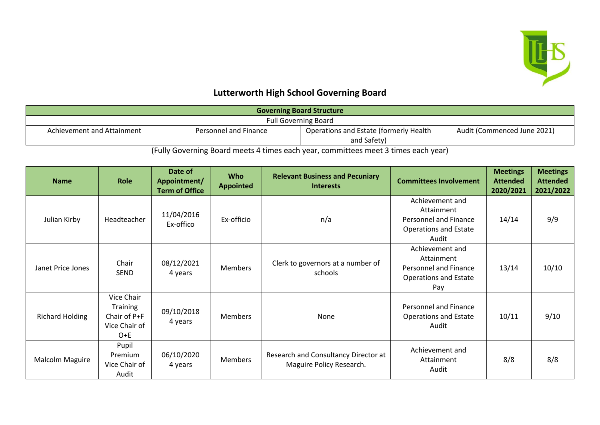

## **Lutterworth High School Governing Board**

| <b>Governing Board Structure</b> |                       |                                        |                             |  |  |
|----------------------------------|-----------------------|----------------------------------------|-----------------------------|--|--|
| <b>Full Governing Board</b>      |                       |                                        |                             |  |  |
| Achievement and Attainment       | Personnel and Finance | Operations and Estate (formerly Health | Audit (Commenced June 2021) |  |  |
|                                  |                       | and Safety)                            |                             |  |  |

(Fully Governing Board meets 4 times each year, committees meet 3 times each year)

| <b>Name</b>            | <b>Role</b>                                                      | Date of<br>Appointment/<br><b>Term of Office</b> | <b>Who</b><br><b>Appointed</b> | <b>Relevant Business and Pecuniary</b><br><b>Interests</b>       | <b>Committees Involvement</b>                                                                   | <b>Meetings</b><br><b>Attended</b><br>2020/2021 | <b>Meetings</b><br><b>Attended</b><br>2021/2022 |
|------------------------|------------------------------------------------------------------|--------------------------------------------------|--------------------------------|------------------------------------------------------------------|-------------------------------------------------------------------------------------------------|-------------------------------------------------|-------------------------------------------------|
| Julian Kirby           | Headteacher                                                      | 11/04/2016<br>Ex-offico                          | Ex-officio                     | n/a                                                              | Achievement and<br>Attainment<br>Personnel and Finance<br><b>Operations and Estate</b><br>Audit | 14/14                                           | 9/9                                             |
| Janet Price Jones      | Chair<br><b>SEND</b>                                             | 08/12/2021<br>4 years                            | <b>Members</b>                 | Clerk to governors at a number of<br>schools                     | Achievement and<br>Attainment<br>Personnel and Finance<br><b>Operations and Estate</b><br>Pay   | 13/14                                           | 10/10                                           |
| <b>Richard Holding</b> | Vice Chair<br>Training<br>Chair of P+F<br>Vice Chair of<br>$O+E$ | 09/10/2018<br>4 years                            | <b>Members</b>                 | None                                                             | Personnel and Finance<br><b>Operations and Estate</b><br>Audit                                  | 10/11                                           | 9/10                                            |
| Malcolm Maguire        | Pupil<br>Premium<br>Vice Chair of<br>Audit                       | 06/10/2020<br>4 years                            | <b>Members</b>                 | Research and Consultancy Director at<br>Maguire Policy Research. | Achievement and<br>Attainment<br>Audit                                                          | 8/8                                             | 8/8                                             |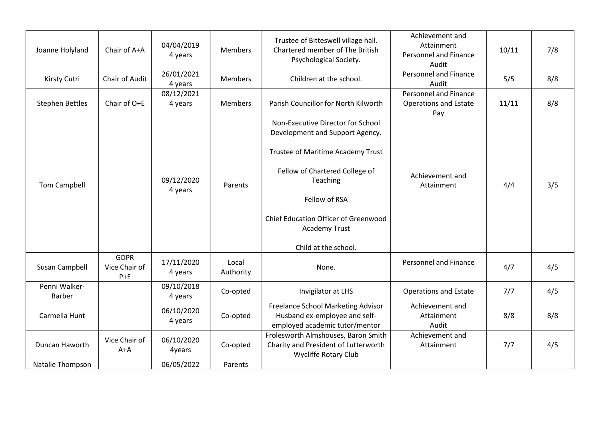| Joanne Holyland         | Chair of A+A                            | 04/04/2019<br>4 years | <b>Members</b>     | Trustee of Bitteswell village hall.<br>Chartered member of The British<br>Psychological Society.                                                                                                                                                                 | Achievement and<br>Attainment<br>Personnel and Finance<br>Audit     | 10/11 | 7/8 |
|-------------------------|-----------------------------------------|-----------------------|--------------------|------------------------------------------------------------------------------------------------------------------------------------------------------------------------------------------------------------------------------------------------------------------|---------------------------------------------------------------------|-------|-----|
| Kirsty Cutri            | Chair of Audit                          | 26/01/2021<br>4 years | <b>Members</b>     | Children at the school.                                                                                                                                                                                                                                          | Personnel and Finance<br>Audit                                      | 5/5   | 8/8 |
| <b>Stephen Bettles</b>  | Chair of O+E                            | 08/12/2021<br>4 years | <b>Members</b>     | Parish Councillor for North Kilworth                                                                                                                                                                                                                             | <b>Personnel and Finance</b><br><b>Operations and Estate</b><br>Pay | 11/11 | 8/8 |
| Tom Campbell            |                                         | 09/12/2020<br>4 years | Parents            | Non-Executive Director for School<br>Development and Support Agency.<br>Trustee of Maritime Academy Trust<br>Fellow of Chartered College of<br>Teaching<br>Fellow of RSA<br><b>Chief Education Officer of Greenwood</b><br>Academy Trust<br>Child at the school. | Achievement and<br>Attainment                                       | 4/4   | 3/5 |
| Susan Campbell          | <b>GDPR</b><br>Vice Chair of<br>$P + F$ | 17/11/2020<br>4 years | Local<br>Authority | None.                                                                                                                                                                                                                                                            | <b>Personnel and Finance</b>                                        | 4/7   | 4/5 |
| Penni Walker-<br>Barber |                                         | 09/10/2018<br>4 years | Co-opted           | Invigilator at LHS                                                                                                                                                                                                                                               | <b>Operations and Estate</b>                                        | 7/7   | 4/5 |
| Carmella Hunt           |                                         | 06/10/2020<br>4 years | Co-opted           | Freelance School Marketing Advisor<br>Husband ex-employee and self-<br>employed academic tutor/mentor                                                                                                                                                            | Achievement and<br>Attainment<br>Audit                              | 8/8   | 8/8 |
| Duncan Haworth          | Vice Chair of<br>$A+A$                  | 06/10/2020<br>4years  | Co-opted           | Frolesworth Almshouses, Baron Smith<br>Charity and President of Lutterworth<br><b>Wycliffe Rotary Club</b>                                                                                                                                                       | Achievement and<br>Attainment                                       | 7/7   | 4/5 |
| Natalie Thompson        |                                         | 06/05/2022            | Parents            |                                                                                                                                                                                                                                                                  |                                                                     |       |     |